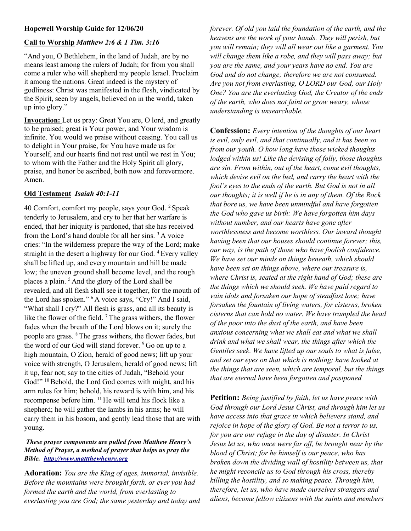# Hopewell Worship Guide for 12/06/20

# Call to Worship Matthew 2:6 & 1 Tim. 3:16

"And you, O Bethlehem, in the land of Judah, are by no means least among the rulers of Judah; for from you shall come a ruler who will shepherd my people Israel. Proclaim it among the nations. Great indeed is the mystery of godliness: Christ was manifested in the flesh, vindicated by the Spirit, seen by angels, believed on in the world, taken up into glory."

Invocation: Let us pray: Great You are, O lord, and greatly to be praised; great is Your power, and Your wisdom is infinite. You would we praise without ceasing. You call us to delight in Your praise, for You have made us for Yourself, and our hearts find not rest until we rest in You; to whom with the Father and the Holy Spirit all glory, praise, and honor be ascribed, both now and forevermore. Amen.

### Old Testament Isaiah 40:1-11

40 Comfort, comfort my people, says your God. <sup>2</sup>Speak tenderly to Jerusalem, and cry to her that her warfare is ended, that her iniquity is pardoned, that she has received from the Lord's hand double for all her sins. <sup>3</sup>A voice cries: "In the wilderness prepare the way of the Lord; make straight in the desert a highway for our God. <sup>4</sup> Every valley shall be lifted up, and every mountain and hill be made low; the uneven ground shall become level, and the rough places a plain. <sup>5</sup>And the glory of the Lord shall be revealed, and all flesh shall see it together, for the mouth of the Lord has spoken." <sup>6</sup> A voice says, "Cry!" And I said, "What shall I cry?" All flesh is grass, and all its beauty is like the flower of the field.  $\frac{7}{7}$ The grass withers, the flower fades when the breath of the Lord blows on it; surely the people are grass. <sup>8</sup>The grass withers, the flower fades, but the word of our God will stand forever. <sup>9</sup> Go on up to a high mountain, O Zion, herald of good news; lift up your voice with strength, O Jerusalem, herald of good news; lift it up, fear not; say to the cities of Judah, "Behold your God!" <sup>10</sup> Behold, the Lord God comes with might, and his arm rules for him; behold, his reward is with him, and his recompense before him. <sup>11</sup>He will tend his flock like a shepherd; he will gather the lambs in his arms; he will carry them in his bosom, and gently lead those that are with young.

#### These prayer components are pulled from Matthew Henry's Method of Prayer, a method of prayer that helps us pray the Bible. http://www.mattthewhenry.org

Adoration: You are the King of ages, immortal, invisible. Before the mountains were brought forth, or ever you had formed the earth and the world, from everlasting to everlasting you are God; the same yesterday and today and forever. Of old you laid the foundation of the earth, and the heavens are the work of your hands. They will perish, but you will remain; they will all wear out like a garment. You will change them like a robe, and they will pass away; but you are the same, and your years have no end. You are God and do not change; therefore we are not consumed. Are you not from everlasting, O LORD our God, our Holy One? You are the everlasting God, the Creator of the ends of the earth, who does not faint or grow weary, whose understanding is unsearchable.

Confession: Every intention of the thoughts of our heart is evil, only evil, and that continually, and it has been so from our youth. O how long have those wicked thoughts lodged within us! Like the devising of folly, those thoughts are sin. From within, out of the heart, come evil thoughts, which devise evil on the bed, and carry the heart with the fool's eyes to the ends of the earth. But God is not in all our thoughts; it is well if he is in any of them. Of the Rock that bore us, we have been unmindful and have forgotten the God who gave us birth: We have forgotten him days without number, and our hearts have gone after worthlessness and become worthless. Our inward thought having been that our houses should continue forever; this, our way, is the path of those who have foolish confidence. We have set our minds on things beneath, which should have been set on things above, where our treasure is, where Christ is, seated at the right hand of God; these are the things which we should seek. We have paid regard to vain idols and forsaken our hope of steadfast love; have forsaken the fountain of living waters, for cisterns, broken cisterns that can hold no water. We have trampled the head of the poor into the dust of the earth, and have been anxious concerning what we shall eat and what we shall drink and what we shall wear, the things after which the Gentiles seek. We have lifted up our souls to what is false, and set our eyes on that which is nothing; have looked at the things that are seen, which are temporal, but the things that are eternal have been forgotten and postponed

**Petition:** Being justified by faith, let us have peace with God through our Lord Jesus Christ, and through him let us have access into that grace in which believers stand, and rejoice in hope of the glory of God. Be not a terror to us, for you are our refuge in the day of disaster. In Christ Jesus let us, who once were far off, be brought near by the blood of Christ; for he himself is our peace, who has broken down the dividing wall of hostility between us, that he might reconcile us to God through his cross, thereby killing the hostility, and so making peace. Through him, therefore, let us, who have made ourselves strangers and aliens, become fellow citizens with the saints and members